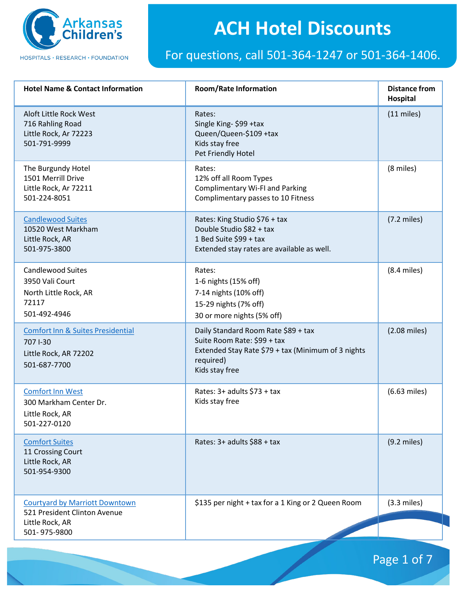

#### For questions, call 501-364-1247 or 501-364-1406.

| <b>Hotel Name &amp; Contact Information</b>                                                       | <b>Room/Rate Information</b>                                                                                                                            | <b>Distance from</b><br><b>Hospital</b> |
|---------------------------------------------------------------------------------------------------|---------------------------------------------------------------------------------------------------------------------------------------------------------|-----------------------------------------|
| Aloft Little Rock West<br>716 Rahling Road<br>Little Rock, Ar 72223<br>501-791-9999               | Rates:<br>Single King-\$99 +tax<br>Queen/Queen-\$109 +tax<br>Kids stay free<br>Pet Friendly Hotel                                                       | $(11$ miles)                            |
| The Burgundy Hotel<br>1501 Merrill Drive<br>Little Rock, Ar 72211<br>501-224-8051                 | Rates:<br>12% off all Room Types<br><b>Complimentary Wi-FI and Parking</b><br>Complimentary passes to 10 Fitness                                        | (8 miles)                               |
| <b>Candlewood Suites</b><br>10520 West Markham<br>Little Rock, AR<br>501-975-3800                 | Rates: King Studio \$76 + tax<br>Double Studio \$82 + tax<br>1 Bed Suite \$99 + tax<br>Extended stay rates are available as well.                       | $(7.2$ miles)                           |
| <b>Candlewood Suites</b><br>3950 Vali Court<br>North Little Rock, AR<br>72117<br>501-492-4946     | Rates:<br>1-6 nights (15% off)<br>7-14 nights (10% off)<br>15-29 nights (7% off)<br>30 or more nights (5% off)                                          | $(8.4$ miles)                           |
| <b>Comfort Inn &amp; Suites Presidential</b><br>707 1-30<br>Little Rock, AR 72202<br>501-687-7700 | Daily Standard Room Rate \$89 + tax<br>Suite Room Rate: \$99 + tax<br>Extended Stay Rate \$79 + tax (Minimum of 3 nights<br>required)<br>Kids stay free | $(2.08$ miles)                          |
| <b>Comfort Inn West</b><br>300 Markham Center Dr.<br>Little Rock, AR<br>501-227-0120              | Rates: 3+ adults \$73 + tax<br>Kids stay free                                                                                                           | $(6.63$ miles)                          |
| <b>Comfort Suites</b><br>11 Crossing Court<br>Little Rock, AR<br>501-954-9300                     | Rates: 3+ adults \$88 + tax                                                                                                                             | $(9.2$ miles)                           |
| <b>Courtyard by Marriott Downtown</b><br>521 President Clinton Avenue<br>Little Rock, AR          | \$135 per night + tax for a 1 King or 2 Queen Room                                                                                                      | $(3.3$ miles)                           |
| 501-975-9800                                                                                      |                                                                                                                                                         |                                         |

Page 1 of 7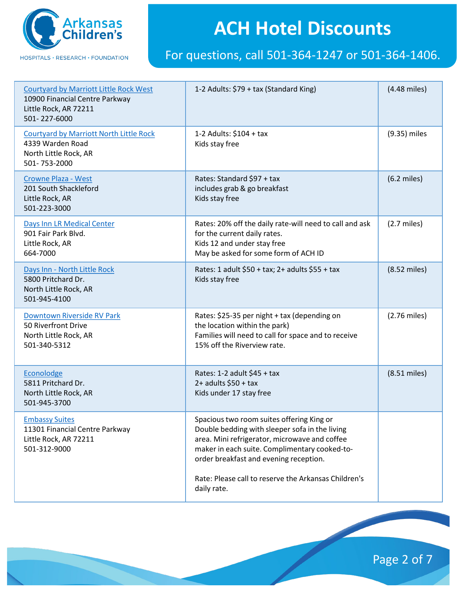

#### For questions, call 501-364-1247 or 501-364-1406.

| <b>Courtyard by Marriott Little Rock West</b><br>10900 Financial Centre Parkway<br>Little Rock, AR 72211<br>501-227-6000 | 1-2 Adults: \$79 + tax (Standard King)                                                                                                                                                                                                                                                                         | (4.48 miles)   |
|--------------------------------------------------------------------------------------------------------------------------|----------------------------------------------------------------------------------------------------------------------------------------------------------------------------------------------------------------------------------------------------------------------------------------------------------------|----------------|
| <b>Courtyard by Marriott North Little Rock</b><br>4339 Warden Road<br>North Little Rock, AR<br>501-753-2000              | 1-2 Adults: \$104 + tax<br>Kids stay free                                                                                                                                                                                                                                                                      | (9.35) miles   |
| <b>Crowne Plaza - West</b><br>201 South Shackleford<br>Little Rock, AR<br>501-223-3000                                   | Rates: Standard \$97 + tax<br>includes grab & go breakfast<br>Kids stay free                                                                                                                                                                                                                                   | $(6.2$ miles)  |
| Days Inn LR Medical Center<br>901 Fair Park Blvd.<br>Little Rock, AR<br>664-7000                                         | Rates: 20% off the daily rate-will need to call and ask<br>for the current daily rates.<br>Kids 12 and under stay free<br>May be asked for some form of ACH ID                                                                                                                                                 | $(2.7$ miles)  |
| Days Inn - North Little Rock<br>5800 Pritchard Dr.<br>North Little Rock, AR<br>501-945-4100                              | Rates: 1 adult \$50 + tax; 2+ adults \$55 + tax<br>Kids stay free                                                                                                                                                                                                                                              | $(8.52$ miles) |
| Downtown Riverside RV Park<br>50 Riverfront Drive<br>North Little Rock, AR<br>501-340-5312                               | Rates: \$25-35 per night + tax (depending on<br>the location within the park)<br>Families will need to call for space and to receive<br>15% off the Riverview rate.                                                                                                                                            | $(2.76$ miles) |
| Econolodge<br>5811 Pritchard Dr.<br>North Little Rock, AR<br>501-945-3700                                                | Rates: 1-2 adult \$45 + tax<br>$2+$ adults \$50 + tax<br>Kids under 17 stay free                                                                                                                                                                                                                               | $(8.51$ miles) |
| <b>Embassy Suites</b><br>11301 Financial Centre Parkway<br>Little Rock, AR 72211<br>501-312-9000                         | Spacious two room suites offering King or<br>Double bedding with sleeper sofa in the living<br>area. Mini refrigerator, microwave and coffee<br>maker in each suite. Complimentary cooked-to-<br>order breakfast and evening reception.<br>Rate: Please call to reserve the Arkansas Children's<br>daily rate. |                |

Page 2 of 7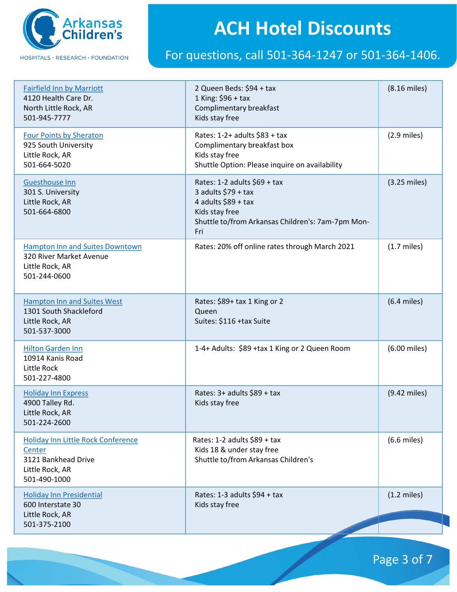

#### For questions, call 501-364-1247 or 501-364-1406.

| <b>Fairfield Inn by Marriott</b><br>4120 Health Care Dr.<br>North Little Rock, AR<br>501-945-7777             | 2 Queen Beds: \$94 + tax<br>1 King: $$96 + tax$<br>Complimentary breakfast<br>Kids stay free                                                               | $(8.16$ miles)         |
|---------------------------------------------------------------------------------------------------------------|------------------------------------------------------------------------------------------------------------------------------------------------------------|------------------------|
| <b>Four Points by Sheraton</b><br>925 South University<br>Little Rock, AR<br>501-664-5020                     | Rates: $1-2+$ adults $$83 + tax$<br>Complimentary breakfast box<br>Kids stay free<br>Shuttle Option: Please inquire on availability                        | $(2.9$ miles)          |
| Guesthouse Inn<br>301 S. University<br>Little Rock, AR<br>501-664-6800                                        | Rates: 1-2 adults \$69 + tax<br>3 adults $$79 + tax$<br>4 adults $$89 + tax$<br>Kids stay free<br>Shuttle to/from Arkansas Children's: 7am-7pm Mon-<br>Fri | $(3.25 \text{ miles})$ |
| <b>Hampton Inn and Suites Downtown</b><br>320 River Market Avenue<br>Little Rock, AR<br>501-244-0600          | Rates: 20% off online rates through March 2021                                                                                                             | $(1.7$ miles)          |
| <b>Hampton Inn and Suites West</b><br>1301 South Shackleford<br>Little Rock, AR<br>501-537-3000               | Rates: \$89+ tax 1 King or 2<br>Queen<br>Suites: \$116 +tax Suite                                                                                          | $(6.4$ miles)          |
| <b>Hilton Garden Inn</b><br>10914 Kanis Road<br>Little Rock<br>501-227-4800                                   | 1-4+ Adults: \$89 +tax 1 King or 2 Queen Room                                                                                                              | (6.00 miles)           |
| <b>Holiday Inn Express</b><br>4900 Talley Rd.<br>Little Rock, AR<br>501-224-2600                              | Rates: 3+ adults \$89 + tax<br>Kids stay free                                                                                                              | $(9.42$ miles)         |
| <b>Holiday Inn Little Rock Conference</b><br>Center<br>3121 Bankhead Drive<br>Little Rock, AR<br>501-490-1000 | Rates: 1-2 adults \$89 + tax<br>Kids 18 & under stay free<br>Shuttle to/from Arkansas Children's                                                           | $(6.6$ miles)          |
| <b>Holiday Inn Presidential</b><br>600 Interstate 30<br>Little Rock, AR<br>501-375-2100                       | Rates: 1-3 adults \$94 + tax<br>Kids stay free                                                                                                             | $(1.2 \text{ miles})$  |

Page 3 of 7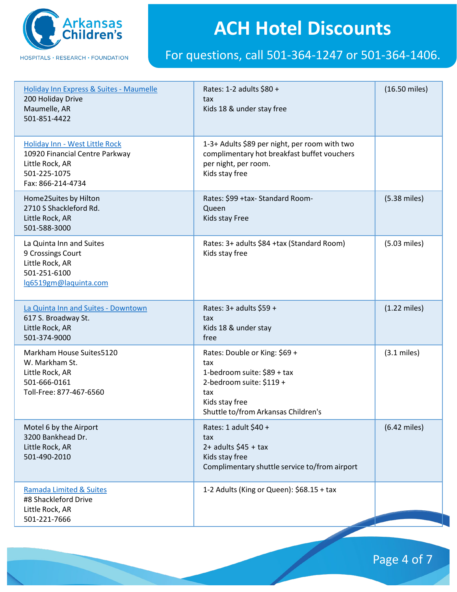

#### For questions, call 501-364-1247 or 501-364-1406.

| Holiday Inn Express & Suites - Maumelle<br>200 Holiday Drive<br>Maumelle, AR<br>501-851-4422                             | Rates: 1-2 adults \$80 +<br>tax<br>Kids 18 & under stay free                                                                                                    | (16.50 miles)          |
|--------------------------------------------------------------------------------------------------------------------------|-----------------------------------------------------------------------------------------------------------------------------------------------------------------|------------------------|
| Holiday Inn - West Little Rock<br>10920 Financial Centre Parkway<br>Little Rock, AR<br>501-225-1075<br>Fax: 866-214-4734 | 1-3+ Adults \$89 per night, per room with two<br>complimentary hot breakfast buffet vouchers<br>per night, per room.<br>Kids stay free                          |                        |
| Home2Suites by Hilton<br>2710 S Shackleford Rd.<br>Little Rock, AR<br>501-588-3000                                       | Rates: \$99 +tax- Standard Room-<br>Queen<br>Kids stay Free                                                                                                     | $(5.38$ miles)         |
| La Quinta Inn and Suites<br>9 Crossings Court<br>Little Rock, AR<br>501-251-6100<br>lg6519gm@laquinta.com                | Rates: 3+ adults \$84 +tax (Standard Room)<br>Kids stay free                                                                                                    | $(5.03$ miles)         |
| La Quinta Inn and Suites - Downtown<br>617 S. Broadway St.<br>Little Rock, AR<br>501-374-9000                            | Rates: 3+ adults \$59 +<br>tax<br>Kids 18 & under stay<br>free                                                                                                  | $(1.22 \text{ miles})$ |
| Markham House Suites5120<br>W. Markham St.<br>Little Rock, AR<br>501-666-0161<br>Toll-Free: 877-467-6560                 | Rates: Double or King: \$69 +<br>tax<br>1-bedroom suite: \$89 + tax<br>2-bedroom suite: \$119 +<br>tax<br>Kids stay free<br>Shuttle to/from Arkansas Children's | $(3.1 \text{ miles})$  |
| Motel 6 by the Airport<br>3200 Bankhead Dr.<br>Little Rock, AR<br>501-490-2010                                           | Rates: 1 adult \$40 +<br>tax<br>$2+$ adults \$45 + tax<br>Kids stay free<br>Complimentary shuttle service to/from airport                                       | $(6.42$ miles)         |
| Ramada Limited & Suites<br>#8 Shackleford Drive<br>Little Rock, AR<br>501-221-7666                                       | 1-2 Adults (King or Queen): \$68.15 + tax                                                                                                                       |                        |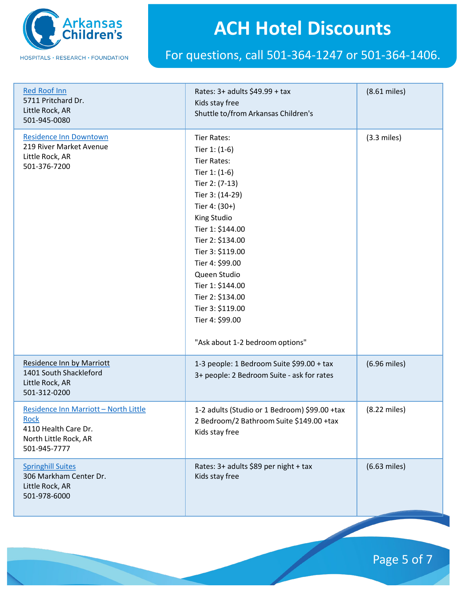

#### For questions, call 501-364-1247 or 501-364-1406.

| <b>Red Roof Inn</b><br>5711 Pritchard Dr.<br>Little Rock, AR<br>501-945-0080                                          | Rates: 3+ adults \$49.99 + tax<br>Kids stay free<br>Shuttle to/from Arkansas Children's                                                                                                                                                                                                                                                                            | $(8.61$ miles) |
|-----------------------------------------------------------------------------------------------------------------------|--------------------------------------------------------------------------------------------------------------------------------------------------------------------------------------------------------------------------------------------------------------------------------------------------------------------------------------------------------------------|----------------|
| <b>Residence Inn Downtown</b><br>219 River Market Avenue<br>Little Rock, AR<br>501-376-7200                           | <b>Tier Rates:</b><br>Tier $1: (1-6)$<br><b>Tier Rates:</b><br>Tier 1: (1-6)<br>Tier 2: (7-13)<br>Tier 3: (14-29)<br>Tier 4: (30+)<br>King Studio<br>Tier 1: \$144.00<br>Tier 2: \$134.00<br>Tier 3: \$119.00<br>Tier 4: \$99.00<br>Queen Studio<br>Tier 1: \$144.00<br>Tier 2: \$134.00<br>Tier 3: \$119.00<br>Tier 4: \$99.00<br>"Ask about 1-2 bedroom options" | $(3.3$ miles)  |
| <b>Residence Inn by Marriott</b><br>1401 South Shackleford<br>Little Rock, AR<br>501-312-0200                         | 1-3 people: 1 Bedroom Suite \$99.00 + tax<br>3+ people: 2 Bedroom Suite - ask for rates                                                                                                                                                                                                                                                                            | (6.96 miles)   |
| Residence Inn Marriott - North Little<br><b>Rock</b><br>4110 Health Care Dr.<br>North Little Rock, AR<br>501-945-7777 | 1-2 adults (Studio or 1 Bedroom) \$99.00 +tax<br>2 Bedroom/2 Bathroom Suite \$149.00 +tax<br>Kids stay free                                                                                                                                                                                                                                                        | (8.22 miles)   |
| <b>Springhill Suites</b><br>306 Markham Center Dr.<br>Little Rock, AR<br>501-978-6000                                 | Rates: 3+ adults \$89 per night + tax<br>Kids stay free                                                                                                                                                                                                                                                                                                            | $(6.63$ miles) |

Page 5 of 7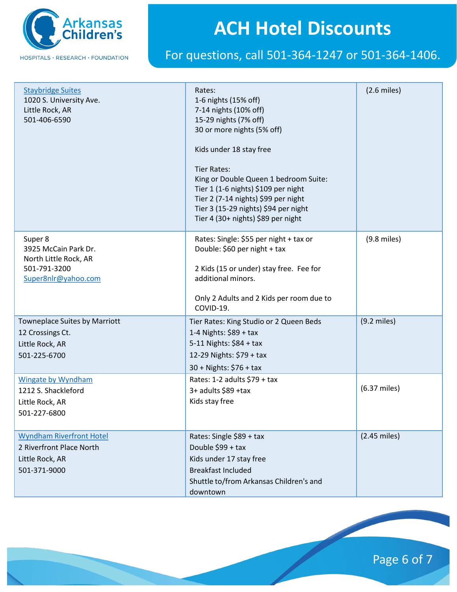

#### For questions, call 501-364-1247 or 501-364-1406.

| <b>Staybridge Suites</b><br>1020 S. University Ave.<br>Little Rock, AR<br>501-406-6590          | Rates:<br>1-6 nights (15% off)<br>7-14 nights (10% off)<br>15-29 nights (7% off)<br>30 or more nights (5% off)<br>Kids under 18 stay free<br><b>Tier Rates:</b><br>King or Double Queen 1 bedroom Suite:<br>Tier 1 (1-6 nights) \$109 per night<br>Tier 2 (7-14 nights) \$99 per night<br>Tier 3 (15-29 nights) \$94 per night<br>Tier 4 (30+ nights) \$89 per night | $(2.6$ miles)  |
|-------------------------------------------------------------------------------------------------|----------------------------------------------------------------------------------------------------------------------------------------------------------------------------------------------------------------------------------------------------------------------------------------------------------------------------------------------------------------------|----------------|
| Super 8<br>3925 McCain Park Dr.<br>North Little Rock, AR<br>501-791-3200<br>Super8nlr@yahoo.com | Rates: Single: \$55 per night + tax or<br>Double: \$60 per night + tax<br>2 Kids (15 or under) stay free. Fee for<br>additional minors.<br>Only 2 Adults and 2 Kids per room due to<br>COVID-19.                                                                                                                                                                     | $(9.8$ miles)  |
| <b>Towneplace Suites by Marriott</b><br>12 Crossings Ct.<br>Little Rock, AR<br>501-225-6700     | Tier Rates: King Studio or 2 Queen Beds<br>1-4 Nights: \$89 + tax<br>5-11 Nights: \$84 + tax<br>12-29 Nights: \$79 + tax<br>30 + Nights: \$76 + tax                                                                                                                                                                                                                  | $(9.2$ miles)  |
| <b>Wingate by Wyndham</b><br>1212 S. Shackleford<br>Little Rock, AR<br>501-227-6800             | Rates: 1-2 adults $$79 + tax$<br>3+ adults \$89 +tax<br>Kids stay free                                                                                                                                                                                                                                                                                               | (6.37 miles)   |
| <b>Wyndham Riverfront Hotel</b><br>2 Riverfront Place North<br>Little Rock, AR<br>501-371-9000  | Rates: Single \$89 + tax<br>Double \$99 + tax<br>Kids under 17 stay free<br><b>Breakfast Included</b><br>Shuttle to/from Arkansas Children's and<br>downtown                                                                                                                                                                                                         | $(2.45$ miles) |